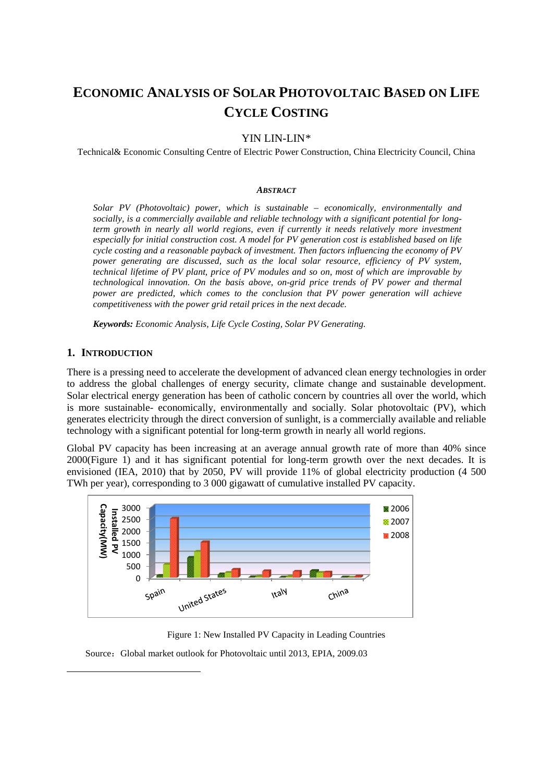# **ECONOMIC ANALYSIS OF SOLAR PHOTOVOLTAIC BASED ON LIFE CYCLE COSTING**

# YIN LIN-LIN[\\*](#page-0-0)

Technical& Economic Consulting Centre of Electric Power Construction, China Electricity Council, China

#### *ABSTRACT*

*Solar PV (Photovoltaic) power, which is sustainable – economically, environmentally and socially, is a commercially available and reliable technology with a significant potential for longterm growth in nearly all world regions, even if currently it needs relatively more investment especially for initial construction cost. A model for PV generation cost is established based on life cycle costing and a reasonable payback of investment. Then factors influencing the economy of PV power generating are discussed, such as the local solar resource, efficiency of PV system, technical lifetime of PV plant, price of PV modules and so on, most of which are improvable by technological innovation. On the basis above, on-grid price trends of PV power and thermal power are predicted, which comes to the conclusion that PV power generation will achieve competitiveness with the power grid retail prices in the next decade.*

*Keywords: Economic Analysis, Life Cycle Costing, Solar PV Generating.*

### **1. INTRODUCTION**

<span id="page-0-0"></span> $\overline{a}$ 

There is a pressing need to accelerate the development of advanced clean energy technologies in order to address the global challenges of energy security, climate change and sustainable development. Solar electrical energy generation has been of catholic concern by countries all over the world, which is more sustainable- economically, environmentally and socially. Solar photovoltaic (PV), which generates electricity through the direct conversion of sunlight, is a commercially available and reliable technology with a significant potential for long-term growth in nearly all world regions.

Global PV capacity has been increasing at an average annual growth rate of more than 40% since 2000(Figure 1) and it has significant potential for long-term growth over the next decades. It is envisioned (IEA, 2010) that by 2050, PV will provide 11% of global electricity production (4 500 TWh per year), corresponding to 3 000 gigawatt of cumulative installed PV capacity.



Figure 1: New Installed PV Capacity in Leading Countries

Source: Global market outlook for Photovoltaic until 2013, EPIA, 2009.03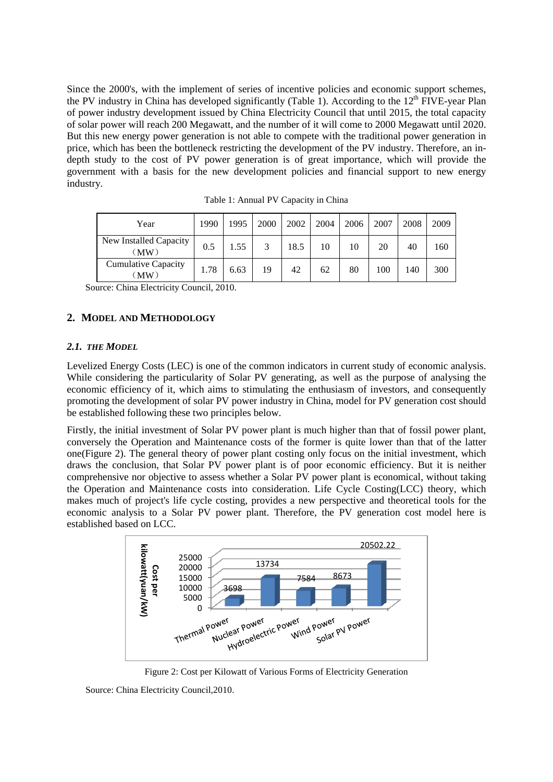Since the 2000's, with the implement of series of incentive policies and economic support schemes, the PV industry in China has developed significantly (Table 1). According to the  $12<sup>th</sup>$  FIVE-year Plan of power industry development issued by China Electricity Council that until 2015, the total capacity of solar power will reach 200 Megawatt, and the number of it will come to 2000 Megawatt until 2020. But this new energy power generation is not able to compete with the traditional power generation in price, which has been the bottleneck restricting the development of the PV industry. Therefore, an indepth study to the cost of PV power generation is of great importance, which will provide the government with a basis for the new development policies and financial support to new energy industry.

| Year                                                 | 1990 | 1995 | 2000 | 2002 | 2004 | 2006 | 2007 | 2008 | 2009 |
|------------------------------------------------------|------|------|------|------|------|------|------|------|------|
| New Installed Capacity<br>$^{\prime}$ MW $_{\prime}$ | 0.5  | 1.55 | 3    | 18.5 | 10   | 10   | 20   | 40   | 160  |
| <b>Cumulative Capacity</b><br>(MW)                   | 1.78 | 6.63 | 19   | 42   | 62   | 80   | 100  | l 40 | 300  |

Table 1: Annual PV Capacity in China

Source: China Electricity Council, 2010.

# **2. MODEL AND METHODOLOGY**

#### *2.1. THE MODEL*

Levelized Energy Costs (LEC) is one of the common indicators in current study of economic analysis. While considering the particularity of Solar PV generating, as well as the purpose of analysing the economic efficiency of it, which aims to stimulating the enthusiasm of investors, and consequently promoting the development of solar PV power industry in China, model for PV generation cost should be established following these two principles below.

Firstly, the initial investment of Solar PV power plant is much higher than that of fossil power plant, conversely the Operation and Maintenance costs of the former is quite lower than that of the latter one(Figure 2). The general theory of power plant costing only focus on the initial investment, which draws the conclusion, that Solar PV power plant is of poor economic efficiency. But it is neither comprehensive nor objective to assess whether a Solar PV power plant is economical, without taking the Operation and Maintenance costs into consideration. Life Cycle Costing(LCC) theory, which makes much of project's life cycle costing, provides a new perspective and theoretical tools for the economic analysis to a Solar PV power plant. Therefore, the PV generation cost model here is established based on LCC.



Figure 2: Cost per Kilowatt of Various Forms of Electricity Generation

Source: China Electricity Council,2010.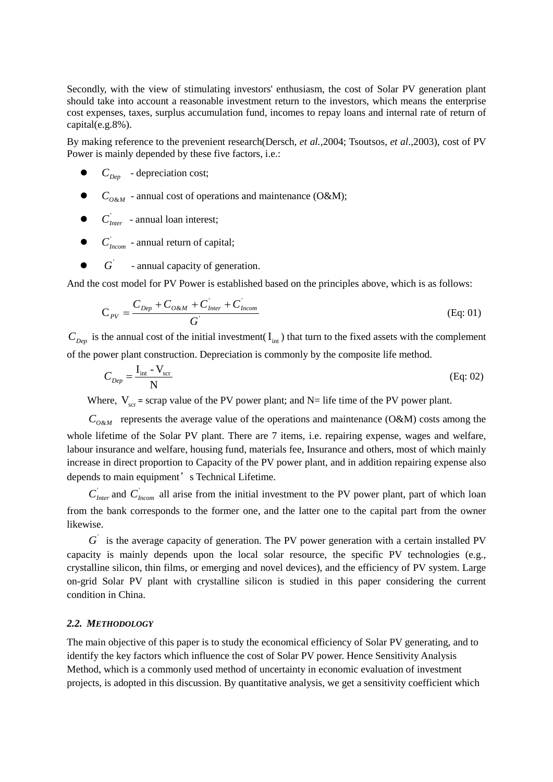Secondly, with the view of stimulating investors' enthusiasm, the cost of Solar PV generation plant should take into account a reasonable investment return to the investors, which means the enterprise cost expenses, taxes, surplus accumulation fund, incomes to repay loans and internal rate of return of capital(e.g.8%).

By making reference to the prevenient research(Dersch, *et al.*,2004; Tsoutsos, *et al*.,2003), cost of PV Power is mainly depended by these five factors, i.e.:

- $\bullet$   $C_{Den}$  depreciation cost;
- $\bullet$   $C_{O\&M}$  annual cost of operations and maintenance (O&M);
- $\bullet$   $C_{\text{inter}}$  annual loan interest;
- $\bullet$   $C_{\text{beam}}$  annual return of capital;
- G annual capacity of generation.

And the cost model for PV Power is established based on the principles above, which is as follows:

$$
C_{\scriptscriptstyle PV} = \frac{C_{\scriptscriptstyle Dep} + C_{\scriptscriptstyle O\&M} + C_{\scriptscriptstyle Inter} + C_{\scriptscriptstyle Incom}}{G}
$$
 (Eq: 01)

 $C_{Dep}$  is the annual cost of the initial investment( $I_{int}$ ) that turn to the fixed assets with the complement of the power plant construction. Depreciation is commonly by the composite life method.

$$
C_{Dep} = \frac{I_{int} - V_{scr}}{N}
$$
 (Eq. 02)

Where,  $V_{\text{scr}}$  = scrap value of the PV power plant; and N= life time of the PV power plant.

 $C_{O\&M}$  represents the average value of the operations and maintenance (O&M) costs among the whole lifetime of the Solar PV plant. There are 7 items, i.e. repairing expense, wages and welfare, labour insurance and welfare, housing fund, materials fee, Insurance and others, most of which mainly increase in direct proportion to Capacity of the PV power plant, and in addition repairing expense also depends to main equipment's Technical Lifetime.

 $C<sub>Inter</sub>$  and  $C<sub>linear</sub>$  all [arise from](dict://key.0895DFE8DB67F9409DB285590D870EDD/arise%20from) the initial investment to the PV power plant, part of which loan from the bank corresponds to the former one, and the latter one to the capital part from the owner likewise.

 $G'$  is the average capacity of generation. The PV power generation with a certain installed PV capacity is mainly depends upon the local solar resource, the specific PV technologies (e.g., crystalline silicon, thin films, or emerging and novel devices), and the efficiency of PV system. Large on-grid Solar PV plant with crystalline silicon is studied in this paper considering the current condition in China.

#### *2.2. METHODOLOGY*

The main objective of this paper is to study the economical efficiency of Solar PV generating, and to identify the key factors which influence the cost of Solar PV power. Hence Sensitivity Analysis Method, which is a commonly used method of uncertainty in economic evaluation of investment projects, is adopted in this discussion. By quantitative analysis, we get a sensitivity coefficient which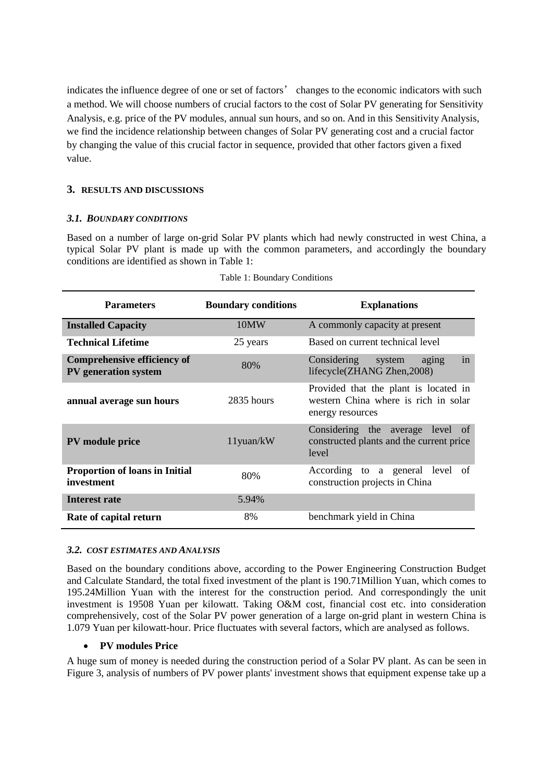indicates the influence degree of one or set of factors' changes to the economic indicators with such a method. We will choose numbers of crucial factors to the cost of Solar PV generating for Sensitivity Analysis, e.g. price of the PV modules, annual sun hours, and so on. And in this Sensitivity Analysis, we find the incidence relationship between changes of Solar PV generating cost and a crucial factor by changing the value of this crucial factor in sequence, provided that other factors given a fixed value.

# **3. RESULTS AND DISCUSSIONS**

#### *3.1. BOUNDARY CONDITIONS*

Based on a number of large on-grid Solar PV plants which had newly constructed in west China, a typical Solar PV plant is made up with the common parameters, and accordingly the boundary conditions are identified as shown in Table 1:

| <b>Parameters</b>                                          | <b>Boundary conditions</b> | <b>Explanations</b>                                                                               |  |  |  |  |
|------------------------------------------------------------|----------------------------|---------------------------------------------------------------------------------------------------|--|--|--|--|
| <b>Installed Capacity</b>                                  | 10MW                       | A commonly capacity at present                                                                    |  |  |  |  |
| <b>Technical Lifetime</b>                                  | 25 years                   | Based on current technical level                                                                  |  |  |  |  |
| <b>Comprehensive efficiency of</b><br>PV generation system | 80%                        | in<br>Considering<br>aging<br>system<br>lifecycle(ZHANG Zhen, 2008)                               |  |  |  |  |
| annual average sun hours                                   | $2835$ hours               | Provided that the plant is located in<br>western China where is rich in solar<br>energy resources |  |  |  |  |
| <b>PV</b> module price                                     | $11$ yuan/kW               | Considering the average level of<br>constructed plants and the current price<br>level             |  |  |  |  |
| Proportion of loans in Initial<br>investment               | 80%                        | According to a general level<br>of<br>construction projects in China                              |  |  |  |  |
| Interest rate                                              | 5.94%                      |                                                                                                   |  |  |  |  |
| Rate of capital return                                     | 8%                         | benchmark yield in China                                                                          |  |  |  |  |

| Table 1: Boundary Conditions |  |
|------------------------------|--|
|------------------------------|--|

#### *3.2. COST ESTIMATES AND ANALYSIS*

Based on the boundary conditions above, according to the Power Engineering Construction Budget and Calculate Standard, the total fixed investment of the plant is 190.71Million Yuan, which comes to 195.24Million Yuan with the interest for the construction period. And correspondingly the unit investment is 19508 Yuan per kilowatt. Taking O&M cost, financial cost etc. into consideration comprehensively, cost of the Solar PV power generation of a large on-grid plant in western China is 1.079 Yuan per kilowatt-hour. Price fluctuates with several factors, which are analysed as follows.

#### • **PV modules Price**

A huge sum of money is needed during the construction period of a Solar PV plant. As can be seen in Figure 3, analysis of numbers of PV power plants' investment shows that equipment expense take up a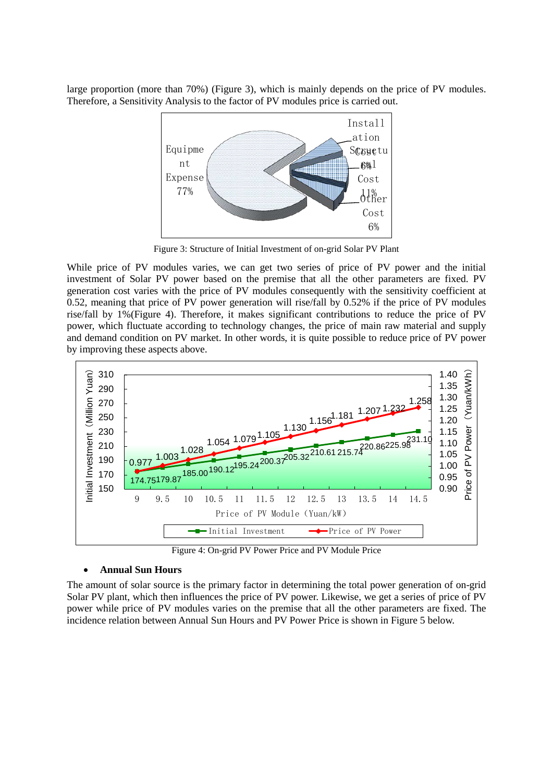large proportion (more than 70%) (Figure 3), which is mainly depends on the price of PV modules. Therefore, a Sensitivity Analysis to the factor of PV modules price is carried out.



Figure 3: Structure of Initial Investment of on-grid Solar PV Plant

While price of PV modules varies, we can get two series of price of PV power and the initial investment of Solar PV power based on the premise that all the other parameters are fixed. PV generation cost varies with the price of PV modules consequently with the sensitivity coefficient at 0.52, meaning that price of PV power generation will rise/fall by 0.52% if the price of PV modules rise/fall by 1%(Figure 4). Therefore, it makes significant contributions to reduce the price of PV power, which fluctuate according to technology changes, the price of main raw material and supply and demand condition on PV market. In other words, it is quite possible to reduce price of PV power by improving these aspects above.



Figure 4: On-grid PV Power Price and PV Module Price

# • **Annual Sun Hours**

The amount of solar source is the primary factor in determining the total power generation of on-grid Solar PV plant, which then influences the price of PV power. Likewise, we get a series of price of PV power while price of PV modules varies on the premise that all the other parameters are fixed. The incidence relation between Annual Sun Hours and PV Power Price is shown in Figure 5 below.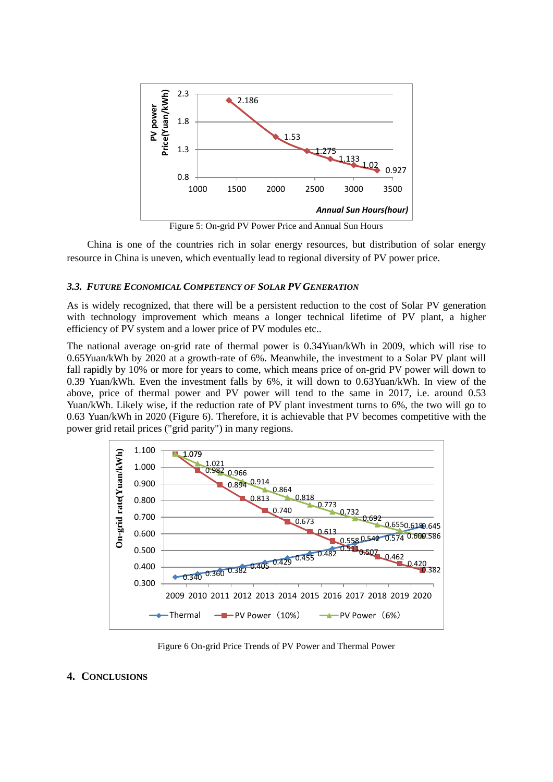

Figure 5: On-grid PV Power Price and Annual Sun Hours

China is one of the countries rich in solar energy resources, but distribution of solar energy resource in China is uneven, which eventually lead to regional diversity of PV power price.

#### *3.3. FUTURE ECONOMICAL COMPETENCY OF SOLAR PV GENERATION*

As is widely recognized, that there will be a persistent reduction to the cost of Solar PV generation with technology improvement which means a longer technical lifetime of PV plant, a higher efficiency of PV system and a lower price of PV modules etc..

The national average on-grid rate of thermal power is 0.34Yuan/kWh in 2009, which will rise to 0.65Yuan/kWh by 2020 at a growth-rate of 6%. Meanwhile, the investment to a Solar PV plant will fall rapidly by 10% or more for years to come, which means price of on-grid PV power will down to 0.39 Yuan/kWh. Even the investment falls by 6%, it will down to 0.63Yuan/kWh. In view of the above, price of thermal power and PV power will tend to the same in 2017, i.e. around 0.53 Yuan/kWh. Likely wise, if the reduction rate of PV plant investment turns to 6%, the two will go to 0.63 Yuan/kWh in 2020 (Figure 6). Therefore, it is achievable that PV becomes competitive with the power grid retail prices ("grid parity") in many regions.



Figure 6 On-grid Price Trends of PV Power and Thermal Power

# **4. CONCLUSIONS**